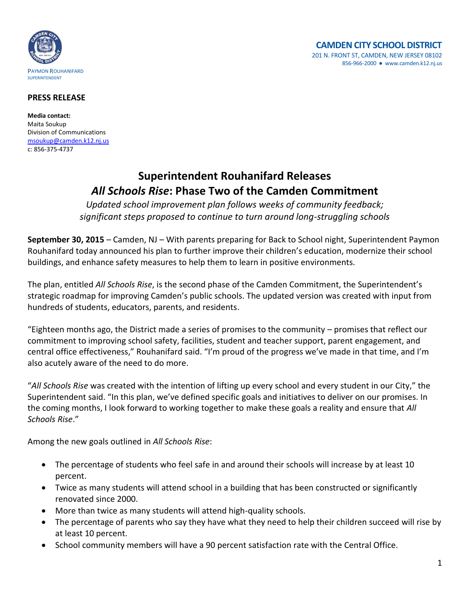

## **PRESS RELEASE**

**Media contact:** Maita Soukup Division of Communications [msoukup@camden.k12.nj.us](mailto:msoukup@camden.k12.nj.us) c: 856-375-4737

## **Superintendent Rouhanifard Releases**  *All Schools Rise***: Phase Two of the Camden Commitment**

*Updated school improvement plan follows weeks of community feedback; significant steps proposed to continue to turn around long-struggling schools*

**September 30, 2015** – Camden, NJ – With parents preparing for Back to School night, Superintendent Paymon Rouhanifard today announced his plan to further improve their children's education, modernize their school buildings, and enhance safety measures to help them to learn in positive environments.

The plan, entitled *All Schools Rise*, is the second phase of the Camden Commitment, the Superintendent's strategic roadmap for improving Camden's public schools. The updated version was created with input from hundreds of students, educators, parents, and residents.

"Eighteen months ago, the District made a series of promises to the community – promises that reflect our commitment to improving school safety, facilities, student and teacher support, parent engagement, and central office effectiveness," Rouhanifard said. "I'm proud of the progress we've made in that time, and I'm also acutely aware of the need to do more.

"*All Schools Rise* was created with the intention of lifting up every school and every student in our City," the Superintendent said. "In this plan, we've defined specific goals and initiatives to deliver on our promises. In the coming months, I look forward to working together to make these goals a reality and ensure that *All Schools Rise*."

Among the new goals outlined in *All Schools Rise*:

- The percentage of students who feel safe in and around their schools will increase by at least 10 percent.
- Twice as many students will attend school in a building that has been constructed or significantly renovated since 2000.
- More than twice as many students will attend high-quality schools.
- The percentage of parents who say they have what they need to help their children succeed will rise by at least 10 percent.
- School community members will have a 90 percent satisfaction rate with the Central Office.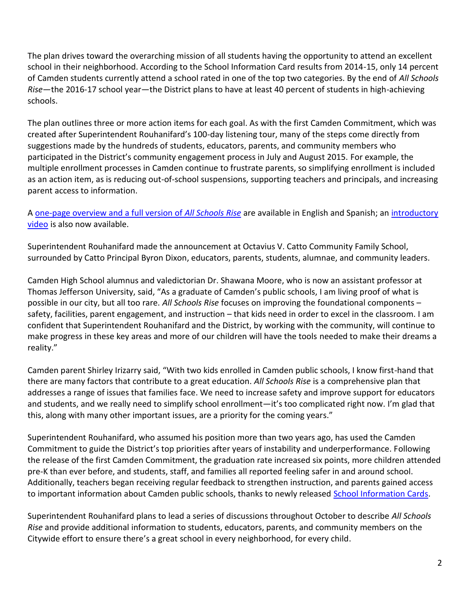The plan drives toward the overarching mission of all students having the opportunity to attend an excellent school in their neighborhood. According to the School Information Card results from 2014-15, only 14 percent of Camden students currently attend a school rated in one of the top two categories. By the end of *All Schools Rise*—the 2016-17 school year—the District plans to have at least 40 percent of students in high-achieving schools.

The plan outlines three or more action items for each goal. As with the first Camden Commitment, which was created after Superintendent Rouhanifard's 100-day listening tour, many of the steps come directly from suggestions made by the hundreds of students, educators, parents, and community members who participated in the District's community engagement process in July and August 2015. For example, the multiple enrollment processes in Camden continue to frustrate parents, so simplifying enrollment is included as an action item, as is reducing out-of-school suspensions, supporting teachers and principals, and increasing parent access to information.

A [one-page overview and a full version of](http://www.camden.k12.nj.us/apps/pages/index.jsp?uREC_ID=229399&type=d&termREC_ID=&pREC_ID=538539) *All Schools Rise* are available in English and Spanish; an [introductory](https://www.youtube.com/watch?v=N_kEUK3_S2Y)  [video](https://www.youtube.com/watch?v=N_kEUK3_S2Y) is also now available.

Superintendent Rouhanifard made the announcement at Octavius V. Catto Community Family School, surrounded by Catto Principal Byron Dixon, educators, parents, students, alumnae, and community leaders.

Camden High School alumnus and valedictorian Dr. Shawana Moore, who is now an assistant professor at Thomas Jefferson University, said, "As a graduate of Camden's public schools, I am living proof of what is possible in our city, but all too rare. *All Schools Rise* focuses on improving the foundational components – safety, facilities, parent engagement, and instruction – that kids need in order to excel in the classroom. I am confident that Superintendent Rouhanifard and the District, by working with the community, will continue to make progress in these key areas and more of our children will have the tools needed to make their dreams a reality."

Camden parent Shirley Irizarry said, "With two kids enrolled in Camden public schools, I know first-hand that there are many factors that contribute to a great education. *All Schools Rise* is a comprehensive plan that addresses a range of issues that families face. We need to increase safety and improve support for educators and students, and we really need to simplify school enrollment—it's too complicated right now. I'm glad that this, along with many other important issues, are a priority for the coming years."

Superintendent Rouhanifard, who assumed his position more than two years ago, has used the Camden Commitment to guide the District's top priorities after years of instability and underperformance. Following the release of the first Camden Commitment, the graduation rate increased six points, more children attended pre-K than ever before, and students, staff, and families all reported feeling safer in and around school. Additionally, teachers began receiving regular feedback to strengthen instruction, and parents gained access to important information about Camden public schools, thanks to newly released [School Information Cards.](http://www.camden.k12.nj.us/apps/pages/index.jsp?uREC_ID=264179&type=d)

Superintendent Rouhanifard plans to lead a series of discussions throughout October to describe *All Schools Rise* and provide additional information to students, educators, parents, and community members on the Citywide effort to ensure there's a great school in every neighborhood, for every child.